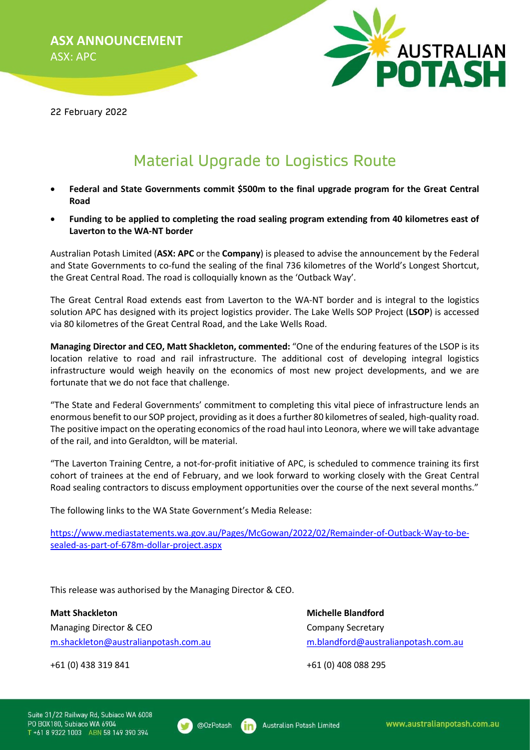

22 February 2022

## Material Upgrade to Logistics Route

- Federal and State Governments commit \$500m to the final upgrade program for the Great Central Road
- Funding to be applied to completing the road sealing program extending from 40 kilometres east of Laverton to the WA-NT border

Australian Potash Limited (ASX: APC or the Company) is pleased to advise the announcement by the Federal and State Governments to co-fund the sealing of the final 736 kilometres of the World's Longest Shortcut, the Great Central Road. The road is colloquially known as the 'Outback Way'.

The Great Central Road extends east from Laverton to the WA-NT border and is integral to the logistics solution APC has designed with its project logistics provider. The Lake Wells SOP Project (LSOP) is accessed via 80 kilometres of the Great Central Road, and the Lake Wells Road.

Managing Director and CEO, Matt Shackleton, commented: "One of the enduring features of the LSOP is its location relative to road and rail infrastructure. The additional cost of developing integral logistics infrastructure would weigh heavily on the economics of most new project developments, and we are fortunate that we do not face that challenge.

"The State and Federal Governments' commitment to completing this vital piece of infrastructure lends an enormous benefit to our SOP project, providing as it does a further 80 kilometres of sealed, high-quality road. The positive impact on the operating economics of the road haul into Leonora, where we will take advantage of the rail, and into Geraldton, will be material.

"The Laverton Training Centre, a not-for-profit initiative of APC, is scheduled to commence training its first cohort of trainees at the end of February, and we look forward to working closely with the Great Central Road sealing contractors to discuss employment opportunities over the course of the next several months."

The following links to the WA State Government's Media Release:

https://www.mediastatements.wa.gov.au/Pages/McGowan/2022/02/Remainder-of-Outback-Way-to-besealed-as-part-of-678m-dollar-project.aspx

This release was authorised by the Managing Director & CEO.

Matt Shackleton Michelle Blandford Managing Director & CEO Company Secretary m.shackleton@australianpotash.com.au m.blandford@australianpotash.com.au

+61 (0) 438 319 841 +61 (0) 408 088 295